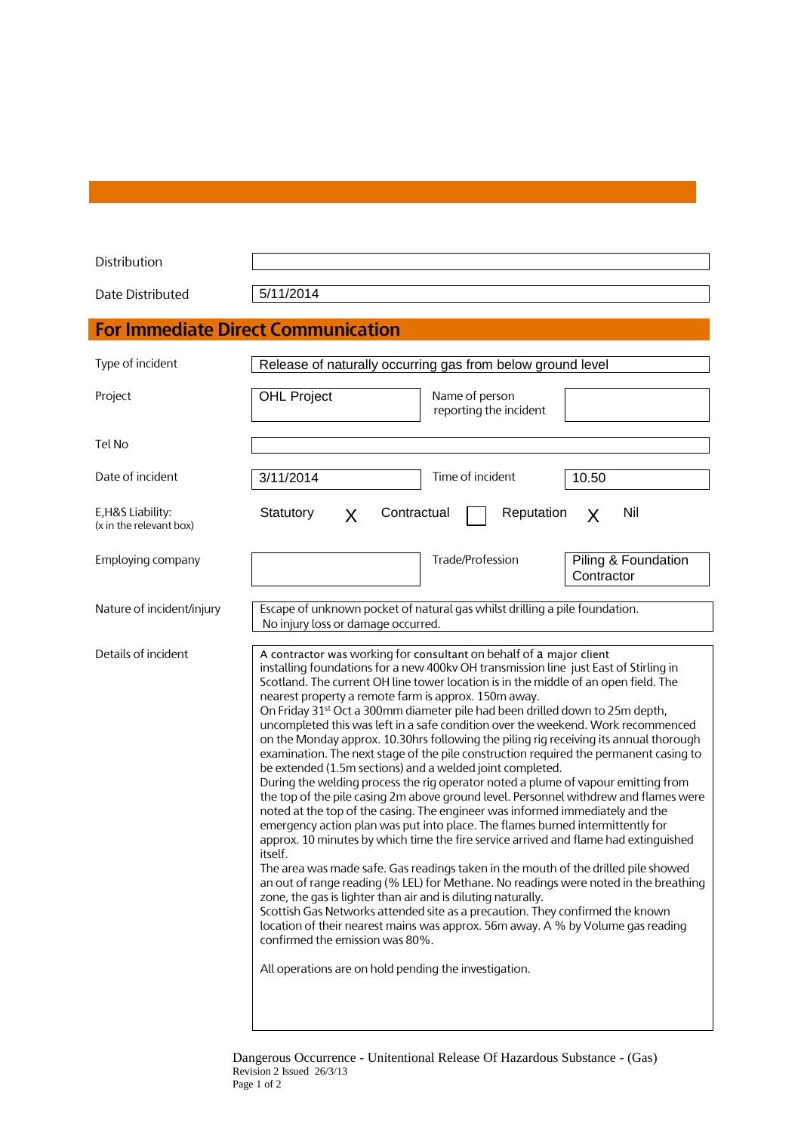| Distribution                                 |                                                                                                                                                                                                                                                                                                                                                                                                                                                                                                                                                                                                                                                                                                                                                                                                                                                                                                                                                                                                                                                                                                                                                                                                                                                                                                                                                                                                                                                                                                                                                                                                                                                                                                            |
|----------------------------------------------|------------------------------------------------------------------------------------------------------------------------------------------------------------------------------------------------------------------------------------------------------------------------------------------------------------------------------------------------------------------------------------------------------------------------------------------------------------------------------------------------------------------------------------------------------------------------------------------------------------------------------------------------------------------------------------------------------------------------------------------------------------------------------------------------------------------------------------------------------------------------------------------------------------------------------------------------------------------------------------------------------------------------------------------------------------------------------------------------------------------------------------------------------------------------------------------------------------------------------------------------------------------------------------------------------------------------------------------------------------------------------------------------------------------------------------------------------------------------------------------------------------------------------------------------------------------------------------------------------------------------------------------------------------------------------------------------------------|
| Date Distributed                             | 5/11/2014                                                                                                                                                                                                                                                                                                                                                                                                                                                                                                                                                                                                                                                                                                                                                                                                                                                                                                                                                                                                                                                                                                                                                                                                                                                                                                                                                                                                                                                                                                                                                                                                                                                                                                  |
|                                              | <b>For Immediate Direct Communication</b>                                                                                                                                                                                                                                                                                                                                                                                                                                                                                                                                                                                                                                                                                                                                                                                                                                                                                                                                                                                                                                                                                                                                                                                                                                                                                                                                                                                                                                                                                                                                                                                                                                                                  |
| Type of incident                             | Release of naturally occurring gas from below ground level                                                                                                                                                                                                                                                                                                                                                                                                                                                                                                                                                                                                                                                                                                                                                                                                                                                                                                                                                                                                                                                                                                                                                                                                                                                                                                                                                                                                                                                                                                                                                                                                                                                 |
| Project                                      | <b>OHL Project</b><br>Name of person<br>reporting the incident                                                                                                                                                                                                                                                                                                                                                                                                                                                                                                                                                                                                                                                                                                                                                                                                                                                                                                                                                                                                                                                                                                                                                                                                                                                                                                                                                                                                                                                                                                                                                                                                                                             |
| Tel No                                       |                                                                                                                                                                                                                                                                                                                                                                                                                                                                                                                                                                                                                                                                                                                                                                                                                                                                                                                                                                                                                                                                                                                                                                                                                                                                                                                                                                                                                                                                                                                                                                                                                                                                                                            |
| Date of incident                             | Time of incident<br>10.50<br>3/11/2014                                                                                                                                                                                                                                                                                                                                                                                                                                                                                                                                                                                                                                                                                                                                                                                                                                                                                                                                                                                                                                                                                                                                                                                                                                                                                                                                                                                                                                                                                                                                                                                                                                                                     |
| E, H&S Liability:<br>(x in the relevant box) | Statutory<br>Contractual<br>Reputation<br>Nil<br>X<br>X                                                                                                                                                                                                                                                                                                                                                                                                                                                                                                                                                                                                                                                                                                                                                                                                                                                                                                                                                                                                                                                                                                                                                                                                                                                                                                                                                                                                                                                                                                                                                                                                                                                    |
| Employing company                            | Trade/Profession<br>Piling & Foundation<br>Contractor                                                                                                                                                                                                                                                                                                                                                                                                                                                                                                                                                                                                                                                                                                                                                                                                                                                                                                                                                                                                                                                                                                                                                                                                                                                                                                                                                                                                                                                                                                                                                                                                                                                      |
| Nature of incident/injury                    | Escape of unknown pocket of natural gas whilst drilling a pile foundation.<br>No injury loss or damage occurred.                                                                                                                                                                                                                                                                                                                                                                                                                                                                                                                                                                                                                                                                                                                                                                                                                                                                                                                                                                                                                                                                                                                                                                                                                                                                                                                                                                                                                                                                                                                                                                                           |
| Details of incident                          | A contractor was working for consultant on behalf of a major client<br>installing foundations for a new 400kv OH transmission line just East of Stirling in<br>Scotland. The current OH line tower location is in the middle of an open field. The<br>nearest property a remote farm is approx. 150m away.<br>On Friday 31 <sup>st</sup> Oct a 300mm diameter pile had been drilled down to 25m depth,<br>uncompleted this was left in a safe condition over the weekend. Work recommenced<br>on the Monday approx. 10.30hrs following the piling rig receiving its annual thorough<br>examination. The next stage of the pile construction required the permanent casing to<br>be extended (1.5m sections) and a welded joint completed.<br>During the welding process the rig operator noted a plume of vapour emitting from<br>the top of the pile casing 2m above ground level. Personnel withdrew and flames were<br>noted at the top of the casing. The engineer was informed immediately and the<br>emergency action plan was put into place. The flames burned intermittently for<br>approx. 10 minutes by which time the fire service arrived and flame had extinguished<br>itself.<br>The area was made safe. Gas readings taken in the mouth of the drilled pile showed<br>an out of range reading (% LEL) for Methane. No readings were noted in the breathing<br>zone, the gas is lighter than air and is diluting naturally.<br>Scottish Gas Networks attended site as a precaution. They confirmed the known<br>location of their nearest mains was approx. 56m away. A % by Volume gas reading<br>confirmed the emission was 80%.<br>All operations are on hold pending the investigation. |

Dangerous Occurrence - Unitentional Release Of Hazardous Substance - (Gas) Revision 2 Issued 26/3/13 Page 1 of 2